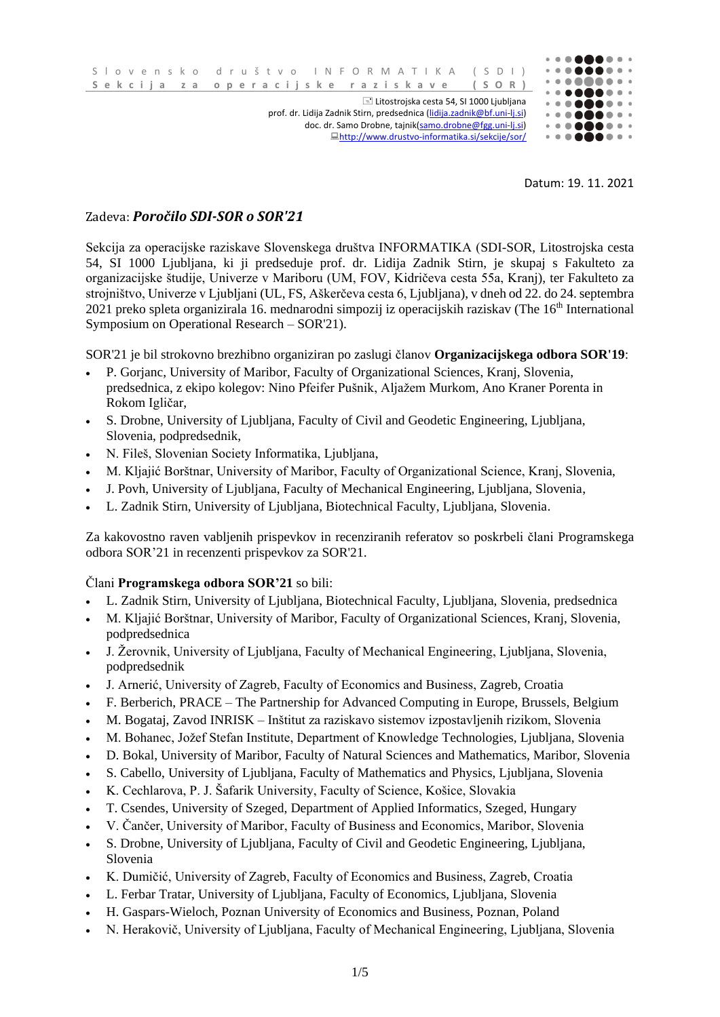

Datum: 19. 11. 2021

## Zadeva: *Poročilo SDI-SOR o SOR'21*

Sekcija za operacijske raziskave Slovenskega društva INFORMATIKA (SDI-SOR, Litostrojska cesta 54, SI 1000 Ljubljana, ki ji predseduje prof. dr. Lidija Zadnik Stirn, je skupaj s Fakulteto za organizacijske študije, Univerze v Mariboru (UM, FOV, Kidričeva cesta 55a, Kranj), ter Fakulteto za strojništvo, Univerze v Ljubljani (UL, FS, Aškerčeva cesta 6, Ljubljana), v dneh od 22. do 24. septembra 2021 preko spleta organizirala 16. mednarodni simpozij iz operacijskih raziskav (The 16<sup>th</sup> International Symposium on Operational Research – SOR'21).

SOR'21 je bil strokovno brezhibno organiziran po zaslugi članov **Organizacijskega odbora SOR'19**:

- P. Gorjanc, University of Maribor, Faculty of Organizational Sciences, Kranj, Slovenia, predsednica, z ekipo kolegov: Nino Pfeifer Pušnik, Aljažem Murkom, Ano Kraner Porenta in Rokom Igličar,
- S. Drobne, University of Ljubljana, Faculty of Civil and Geodetic Engineering, Ljubljana, Slovenia, podpredsednik,
- N. Fileš, Slovenian Society Informatika, Ljubljana,
- M. Kljajić Borštnar, University of Maribor, Faculty of Organizational Science, Kranj, Slovenia,
- J. Povh, University of Ljubljana, Faculty of Mechanical Engineering, Ljubljana, Slovenia,
- L. Zadnik Stirn, University of Ljubljana, Biotechnical Faculty, Ljubljana, Slovenia.

Za kakovostno raven vabljenih prispevkov in recenziranih referatov so poskrbeli člani Programskega odbora SOR'21 in recenzenti prispevkov za SOR'21.

## Člani **Programskega odbora SOR'21** so bili:

- L. Zadnik Stirn, University of Ljubljana, Biotechnical Faculty, Ljubljana, Slovenia, predsednica
- M. Kljajić Borštnar, University of Maribor, Faculty of Organizational Sciences, Kranj, Slovenia, podpredsednica
- J. Žerovnik, University of Ljubljana, Faculty of Mechanical Engineering, Ljubljana, Slovenia, podpredsednik
- J. Arnerić, University of Zagreb, Faculty of Economics and Business, Zagreb, Croatia
- F. Berberich, PRACE The Partnership for Advanced Computing in Europe, Brussels, Belgium
- M. Bogataj, Zavod INRISK Inštitut za raziskavo sistemov izpostavljenih rizikom, Slovenia
- M. Bohanec, Jožef Stefan Institute, Department of Knowledge Technologies, Ljubljana, Slovenia
- D. Bokal, University of Maribor, Faculty of Natural Sciences and Mathematics, Maribor, Slovenia
- S. Cabello, University of Ljubljana, Faculty of Mathematics and Physics, Ljubljana, Slovenia
- K. Cechlarova, P. J. Šafarik University, Faculty of Science, Košice, Slovakia
- T. Csendes, University of Szeged, Department of Applied Informatics, Szeged, Hungary
- V. Čančer, University of Maribor, Faculty of Business and Economics, Maribor, Slovenia
- S. Drobne, University of Ljubljana, Faculty of Civil and Geodetic Engineering, Ljubljana, Slovenia
- K. Dumičić, University of Zagreb, Faculty of Economics and Business, Zagreb, Croatia
- L. Ferbar Tratar, University of Ljubljana, Faculty of Economics, Ljubljana, Slovenia
- H. Gaspars-Wieloch, Poznan University of Economics and Business, Poznan, Poland
- N. Herakovič, University of Ljubljana, Faculty of Mechanical Engineering, Ljubljana, Slovenia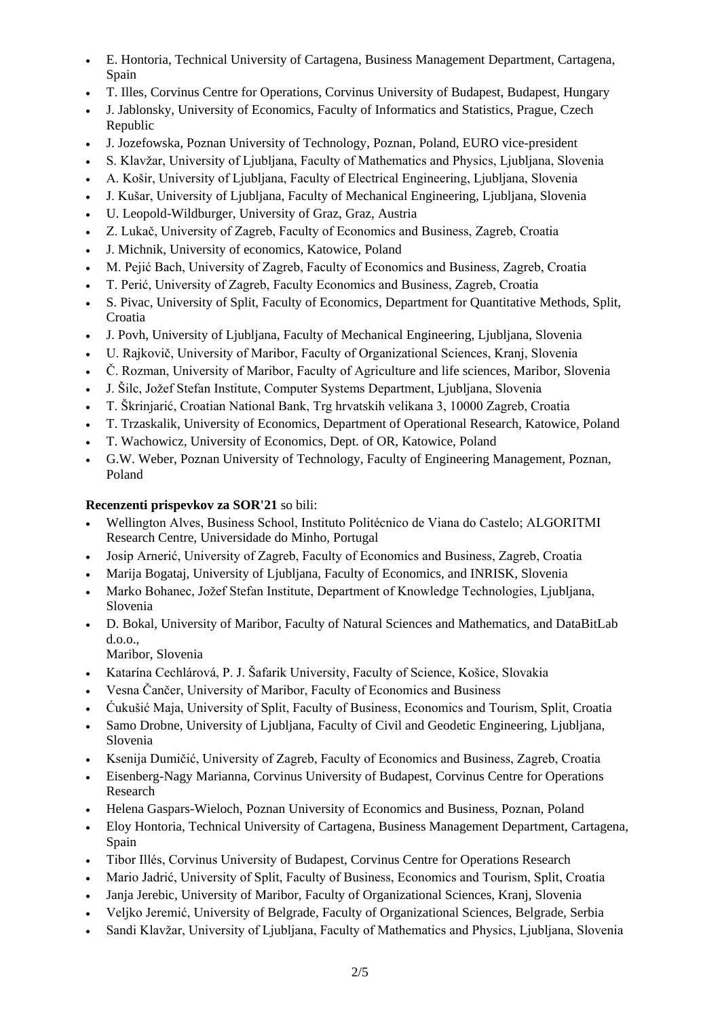- E. Hontoria, Technical University of Cartagena, Business Management Department, Cartagena, Spain
- T. Illes, Corvinus Centre for Operations, Corvinus University of Budapest, Budapest, Hungary
- J. Jablonsky, University of Economics, Faculty of Informatics and Statistics, Prague, Czech Republic
- J. Jozefowska, Poznan University of Technology, Poznan, Poland, EURO vice-president
- S. Klavžar, University of Ljubljana, Faculty of Mathematics and Physics, Ljubljana, Slovenia
- A. Košir, University of Ljubljana, Faculty of Electrical Engineering, Ljubljana, Slovenia
- J. Kušar, University of Ljubljana, Faculty of Mechanical Engineering, Ljubljana, Slovenia
- U. Leopold-Wildburger, University of Graz, Graz, Austria
- Z. Lukač, University of Zagreb, Faculty of Economics and Business, Zagreb, Croatia
- J. Michnik, University of economics, Katowice, Poland
- M. Pejić Bach, University of Zagreb, Faculty of Economics and Business, Zagreb, Croatia
- T. Perić, University of Zagreb, Faculty Economics and Business, Zagreb, Croatia
- S. Pivac, University of Split, Faculty of Economics, Department for Quantitative Methods, Split, Croatia
- J. Povh, University of Ljubljana, Faculty of Mechanical Engineering, Ljubljana, Slovenia
- U. Rajkovič, University of Maribor, Faculty of Organizational Sciences, Kranj, Slovenia
- Č. Rozman, University of Maribor, Faculty of Agriculture and life sciences, Maribor, Slovenia
- J. Šilc, Jožef Stefan Institute, Computer Systems Department, Ljubljana, Slovenia
- T. Škrinjarić, Croatian National Bank, Trg hrvatskih velikana 3, 10000 Zagreb, Croatia
- T. Trzaskalik, University of Economics, Department of Operational Research, Katowice, Poland
- T. Wachowicz, University of Economics, Dept. of OR, Katowice, Poland
- G.W. Weber, Poznan University of Technology, Faculty of Engineering Management, Poznan, Poland

## **Recenzenti prispevkov za SOR'21** so bili:

- Wellington Alves, Business School, Instituto Politécnico de Viana do Castelo; ALGORITMI Research Centre, Universidade do Minho, Portugal
- Josip Arnerić, University of Zagreb, Faculty of Economics and Business, Zagreb, Croatia
- Marija Bogataj, University of Ljubljana, Faculty of Economics, and INRISK, Slovenia
- Marko Bohanec, Jožef Stefan Institute, Department of Knowledge Technologies, Ljubljana, Slovenia
- D. Bokal, University of Maribor, Faculty of Natural Sciences and Mathematics, and DataBitLab d.o.o.,

Maribor, Slovenia

- Katarína Cechlárová, P. J. Šafarik University, Faculty of Science, Košice, Slovakia
- Vesna Čančer, University of Maribor, Faculty of Economics and Business
- Ćukušić Maja, University of Split, Faculty of Business, Economics and Tourism, Split, Croatia
- Samo Drobne, University of Ljubljana, Faculty of Civil and Geodetic Engineering, Ljubljana, Slovenia
- Ksenija Dumičić, University of Zagreb, Faculty of Economics and Business, Zagreb, Croatia
- Eisenberg-Nagy Marianna, Corvinus University of Budapest, Corvinus Centre for Operations Research
- Helena Gaspars-Wieloch, Poznan University of Economics and Business, Poznan, Poland
- Eloy Hontoria, Technical University of Cartagena, Business Management Department, Cartagena, Spain
- Tibor Illés, Corvinus University of Budapest, Corvinus Centre for Operations Research
- Mario Jadrić, University of Split, Faculty of Business, Economics and Tourism, Split, Croatia
- Janja Jerebic, University of Maribor, Faculty of Organizational Sciences, Kranj, Slovenia
- Veljko Jeremić, University of Belgrade, Faculty of Organizational Sciences, Belgrade, Serbia
- Sandi Klavžar, University of Ljubljana, Faculty of Mathematics and Physics, Ljubljana, Slovenia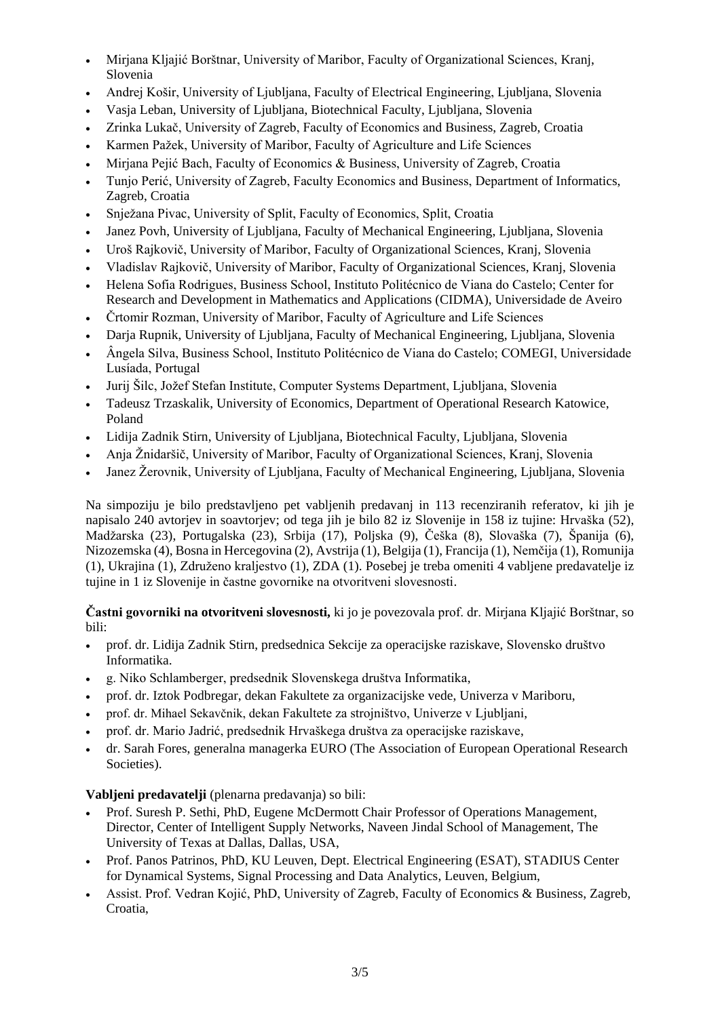- Mirjana Kljajić Borštnar, University of Maribor, Faculty of Organizational Sciences, Kranj, Slovenia
- Andrej Košir, University of Ljubljana, Faculty of Electrical Engineering, Ljubljana, Slovenia
- Vasja Leban, University of Ljubljana, Biotechnical Faculty, Ljubljana, Slovenia
- Zrinka Lukač, University of Zagreb, Faculty of Economics and Business, Zagreb, Croatia
- Karmen Pažek, University of Maribor, Faculty of Agriculture and Life Sciences
- Mirjana Pejić Bach, Faculty of Economics & Business, University of Zagreb, Croatia
- Tunjo Perić, University of Zagreb, Faculty Economics and Business, Department of Informatics, Zagreb, Croatia
- Snježana Pivac, University of Split, Faculty of Economics, Split, Croatia
- Janez Povh, University of Ljubljana, Faculty of Mechanical Engineering, Ljubljana, Slovenia
- Uroš Rajkovič, University of Maribor, Faculty of Organizational Sciences, Kranj, Slovenia
- Vladislav Rajkovič, University of Maribor, Faculty of Organizational Sciences, Kranj, Slovenia
- Helena Sofia Rodrigues, Business School, Instituto Politécnico de Viana do Castelo; Center for Research and Development in Mathematics and Applications (CIDMA), Universidade de Aveiro
- Črtomir Rozman, University of Maribor, Faculty of Agriculture and Life Sciences
- Darja Rupnik, University of Ljubljana, Faculty of Mechanical Engineering, Ljubljana, Slovenia
- Ângela Silva, Business School, Instituto Politécnico de Viana do Castelo; COMEGI, Universidade Lusíada, Portugal
- Jurij Šilc, Jožef Stefan Institute, Computer Systems Department, Ljubljana, Slovenia
- Tadeusz Trzaskalik, University of Economics, Department of Operational Research Katowice, Poland
- Lidija Zadnik Stirn, University of Ljubljana, Biotechnical Faculty, Ljubljana, Slovenia
- Anja Žnidaršič, University of Maribor, Faculty of Organizational Sciences, Kranj, Slovenia
- Janez Žerovnik, University of Ljubljana, Faculty of Mechanical Engineering, Ljubljana, Slovenia

Na simpoziju je bilo predstavljeno pet vabljenih predavanj in 113 recenziranih referatov, ki jih je napisalo 240 avtorjev in soavtorjev; od tega jih je bilo 82 iz Slovenije in 158 iz tujine: Hrvaška (52), Madžarska (23), Portugalska (23), Srbija (17), Poljska (9), Češka (8), Slovaška (7), Španija (6), Nizozemska (4), Bosna in Hercegovina (2), Avstrija (1), Belgija (1), Francija (1), Nemčija (1), Romunija (1), Ukrajina (1), Združeno kraljestvo (1), ZDA (1). Posebej je treba omeniti 4 vabljene predavatelje iz tujine in 1 iz Slovenije in častne govornike na otvoritveni slovesnosti.

**Častni govorniki na otvoritveni slovesnosti,** ki jo je povezovala prof. dr. Mirjana Kljajić Borštnar, so bili:

- prof. dr. Lidija Zadnik Stirn, predsednica Sekcije za operacijske raziskave, Slovensko društvo Informatika.
- g. Niko Schlamberger, predsednik Slovenskega društva Informatika,
- prof. dr. Iztok Podbregar, dekan Fakultete za organizacijske vede, Univerza v Mariboru,
- prof. dr. Mihael Sekavčnik, dekan Fakultete za strojništvo, Univerze v Ljubljani,
- prof. dr. Mario Jadrić, predsednik Hrvaškega društva za operacijske raziskave,
- dr. Sarah Fores, generalna managerka EURO (The Association of European Operational Research Societies).

## **Vabljeni predavatelji** (plenarna predavanja) so bili:

- Prof. Suresh P. Sethi, PhD, Eugene McDermott Chair Professor of Operations Management, Director, Center of Intelligent Supply Networks, Naveen Jindal School of Management, The University of Texas at Dallas, Dallas, USA,
- Prof. Panos Patrinos, PhD, KU Leuven, Dept. Electrical Engineering (ESAT), STADIUS Center for Dynamical Systems, Signal Processing and Data Analytics, Leuven, Belgium,
- Assist. Prof. Vedran Kojić, PhD, University of Zagreb, Faculty of Economics & Business, Zagreb, Croatia,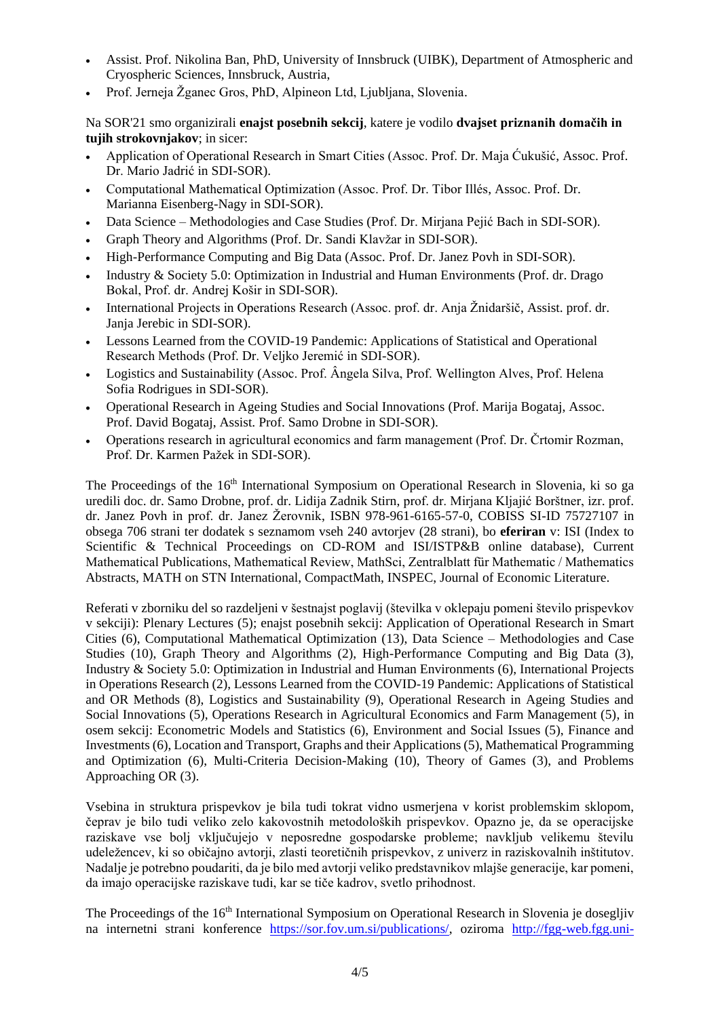- Assist. Prof. Nikolina Ban, PhD, University of Innsbruck (UIBK), Department of Atmospheric and Cryospheric Sciences, Innsbruck, Austria,
- Prof. Jerneja Žganec Gros, PhD, Alpineon Ltd, Ljubljana, Slovenia.

Na SOR'21 smo organizirali **enajst posebnih sekcij**, katere je vodilo **dvajset priznanih domačih in tujih strokovnjakov**; in sicer:

- Application of Operational Research in Smart Cities (Assoc. Prof. Dr. Maja Ćukušić, Assoc. Prof. Dr. Mario Jadrić in SDI-SOR).
- Computational Mathematical Optimization (Assoc. Prof. Dr. Tibor Illés, Assoc. Prof. Dr. Marianna Eisenberg-Nagy in SDI-SOR).
- Data Science Methodologies and Case Studies (Prof. Dr. Mirjana Pejić Bach in SDI-SOR).
- Graph Theory and Algorithms (Prof. Dr. Sandi Klavžar in SDI-SOR).
- High-Performance Computing and Big Data (Assoc. Prof. Dr. Janez Povh in SDI-SOR).
- Industry & Society 5.0: Optimization in Industrial and Human Environments (Prof. dr. Drago Bokal, Prof. dr. Andrej Košir in SDI-SOR).
- International Projects in Operations Research (Assoc. prof. dr. Anja Žnidaršič, Assist. prof. dr. Janja Jerebic in SDI-SOR).
- Lessons Learned from the COVID-19 Pandemic: Applications of Statistical and Operational Research Methods (Prof. Dr. Veljko Jeremić in SDI-SOR).
- Logistics and Sustainability (Assoc. Prof. Ângela Silva, Prof. Wellington Alves, Prof. Helena Sofia Rodrigues in SDI-SOR).
- Operational Research in Ageing Studies and Social Innovations (Prof. Marija Bogataj, Assoc. Prof. David Bogataj, Assist. Prof. Samo Drobne in SDI-SOR).
- Operations research in agricultural economics and farm management (Prof. Dr. Črtomir Rozman, Prof. Dr. Karmen Pažek in SDI-SOR).

The Proceedings of the 16<sup>th</sup> International Symposium on Operational Research in Slovenia, ki so ga uredili doc. dr. Samo Drobne, prof. dr. Lidija Zadnik Stirn, prof. dr. Mirjana Kljajić Borštner, izr. prof. dr. Janez Povh in prof. dr. Janez Žerovnik, ISBN 978-961-6165-57-0, COBISS SI-ID 75727107 in obsega 706 strani ter dodatek s seznamom vseh 240 avtorjev (28 strani), bo **eferiran** v: ISI (Index to Scientific & Technical Proceedings on CD-ROM and ISI/ISTP&B online database), Current Mathematical Publications, Mathematical Review, MathSci, Zentralblatt für Mathematic / Mathematics Abstracts, MATH on STN International, CompactMath, INSPEC, Journal of Economic Literature.

Referati v zborniku del so razdeljeni v šestnajst poglavij (številka v oklepaju pomeni število prispevkov v sekciji): Plenary Lectures (5); enajst posebnih sekcij: Application of Operational Research in Smart Cities (6), Computational Mathematical Optimization (13), Data Science – Methodologies and Case Studies (10), Graph Theory and Algorithms (2), High-Performance Computing and Big Data (3), Industry & Society 5.0: Optimization in Industrial and Human Environments (6), International Projects in Operations Research (2), Lessons Learned from the COVID-19 Pandemic: Applications of Statistical and OR Methods (8), Logistics and Sustainability (9), Operational Research in Ageing Studies and Social Innovations (5), Operations Research in Agricultural Economics and Farm Management (5), in osem sekcij: Econometric Models and Statistics (6), Environment and Social Issues (5), Finance and Investments (6), Location and Transport, Graphs and their Applications (5), Mathematical Programming and Optimization (6), Multi-Criteria Decision-Making (10), Theory of Games (3), and Problems Approaching OR (3).

Vsebina in struktura prispevkov je bila tudi tokrat vidno usmerjena v korist problemskim sklopom, čeprav je bilo tudi veliko zelo kakovostnih metodoloških prispevkov. Opazno je, da se operacijske raziskave vse bolj vključujejo v neposredne gospodarske probleme; navkljub velikemu številu udeležencev, ki so običajno avtorji, zlasti teoretičnih prispevkov, z univerz in raziskovalnih inštitutov. Nadalje je potrebno poudariti, da je bilo med avtorji veliko predstavnikov mlajše generacije, kar pomeni, da imajo operacijske raziskave tudi, kar se tiče kadrov, svetlo prihodnost.

The Proceedings of the 16<sup>th</sup> International Symposium on Operational Research in Slovenia je dosegljiv na internetni strani konference [https://sor.fov.um.si/publications/,](https://sor.fov.um.si/publications/) oziroma [http://fgg-web.fgg.uni-](http://fgg-web.fgg.uni-lj.si/~/sdrobne/sor/)